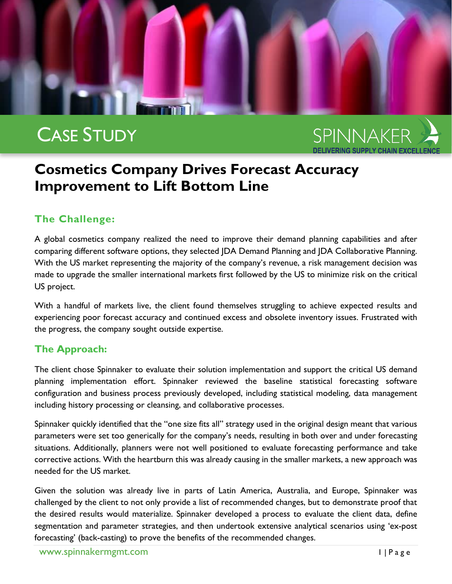

# CASE STUDY

SPINNAKER

## **Cosmetics Company Drives Forecast Accuracy Improvement to Lift Bottom Line**

### **The Challenge:**

A global cosmetics company realized the need to improve their demand planning capabilities and after comparing different software options, they selected JDA Demand Planning and JDA Collaborative Planning. With the US market representing the majority of the company's revenue, a risk management decision was made to upgrade the smaller international markets first followed by the US to minimize risk on the critical US project.

With a handful of markets live, the client found themselves struggling to achieve expected results and experiencing poor forecast accuracy and continued excess and obsolete inventory issues. Frustrated with the progress, the company sought outside expertise.

### **The Approach:**

The client chose Spinnaker to evaluate their solution implementation and support the critical US demand planning implementation effort. Spinnaker reviewed the baseline statistical forecasting software configuration and business process previously developed, including statistical modeling, data management including history processing or cleansing, and collaborative processes.

Spinnaker quickly identified that the "one size fits all" strategy used in the original design meant that various parameters were set too generically for the company's needs, resulting in both over and under forecasting situations. Additionally, planners were not well positioned to evaluate forecasting performance and take corrective actions. With the heartburn this was already causing in the smaller markets, a new approach was needed for the US market.

Given the solution was already live in parts of Latin America, Australia, and Europe, Spinnaker was challenged by the client to not only provide a list of recommended changes, but to demonstrate proof that the desired results would materialize. Spinnaker developed a process to evaluate the client data, define segmentation and parameter strategies, and then undertook extensive analytical scenarios using 'ex-post forecasting' (back-casting) to prove the benefits of the recommended changes.